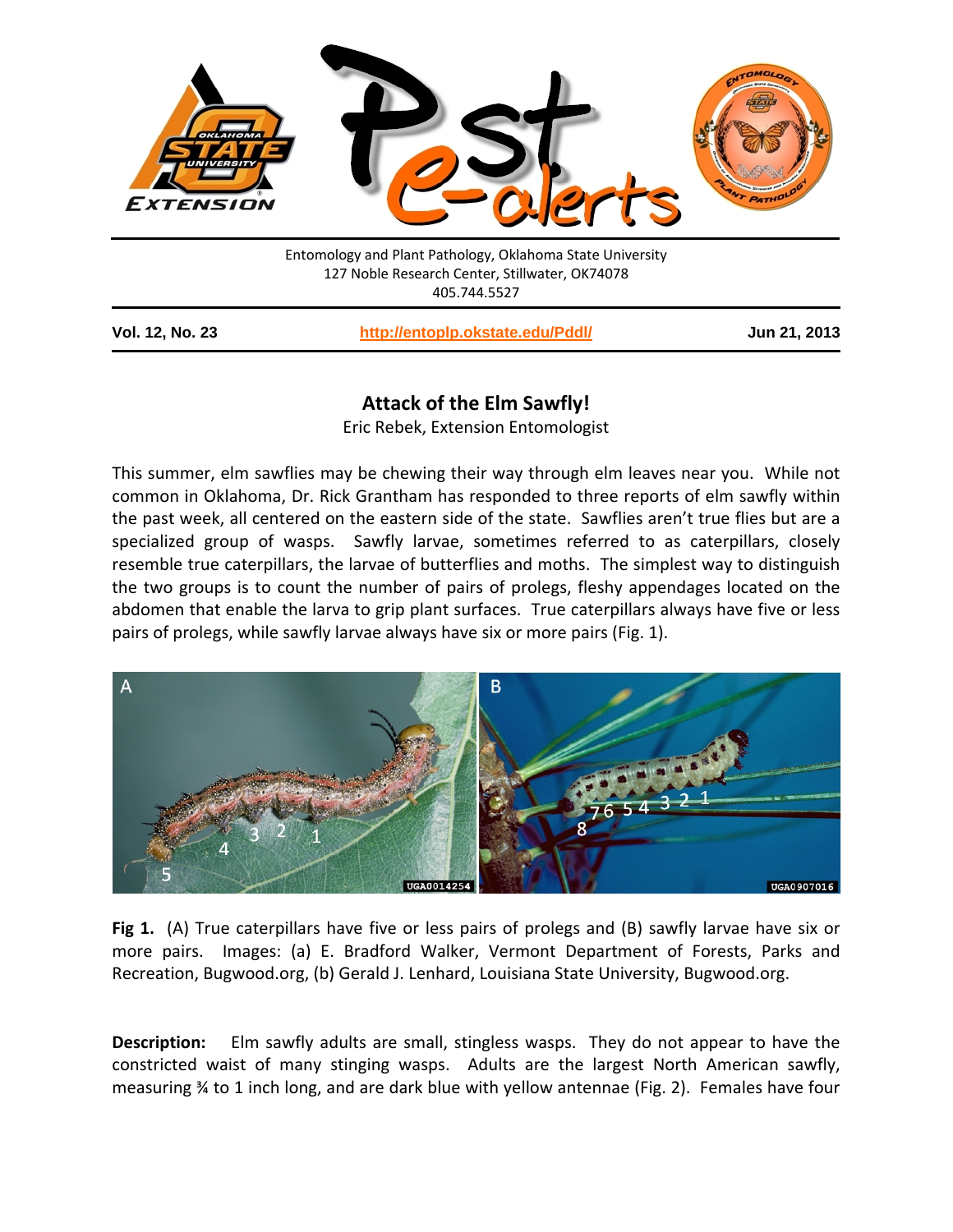

405.744.5527

| <b>Vol. 12, No. 23</b> |  |  |  |
|------------------------|--|--|--|
|------------------------|--|--|--|

**Vol. 12, No. 23 <http://entoplp.okstate.edu/Pddl/> Jun 21, 2013**

## **Attack of the Elm Sawfly!**

Eric Rebek, Extension Entomologist

This summer, elm sawflies may be chewing their way through elm leaves near you. While not common in Oklahoma, Dr. Rick Grantham has responded to three reports of elm sawfly within the past week, all centered on the eastern side of the state. Sawflies aren't true flies but are a specialized group of wasps. Sawfly larvae, sometimes referred to as caterpillars, closely resemble true caterpillars, the larvae of butterflies and moths. The simplest way to distinguish the two groups is to count the number of pairs of prolegs, fleshy appendages located on the abdomen that enable the larva to grip plant surfaces. True caterpillars always have five or less pairs of prolegs, while sawfly larvae always have six or more pairs (Fig. 1).



**Fig 1.** (A) True caterpillars have five or less pairs of prolegs and (B) sawfly larvae have six or more pairs. Images: (a) E. Bradford Walker, Vermont Department of Forests, Parks and Recreation, Bugwood.org, (b) Gerald J. Lenhard, Louisiana State University, Bugwood.org.

**Description:** Elm sawfly adults are small, stingless wasps. They do not appear to have the constricted waist of many stinging wasps. Adults are the largest North American sawfly, measuring ¾ to 1 inch long, and are dark blue with yellow antennae (Fig. 2). Females have four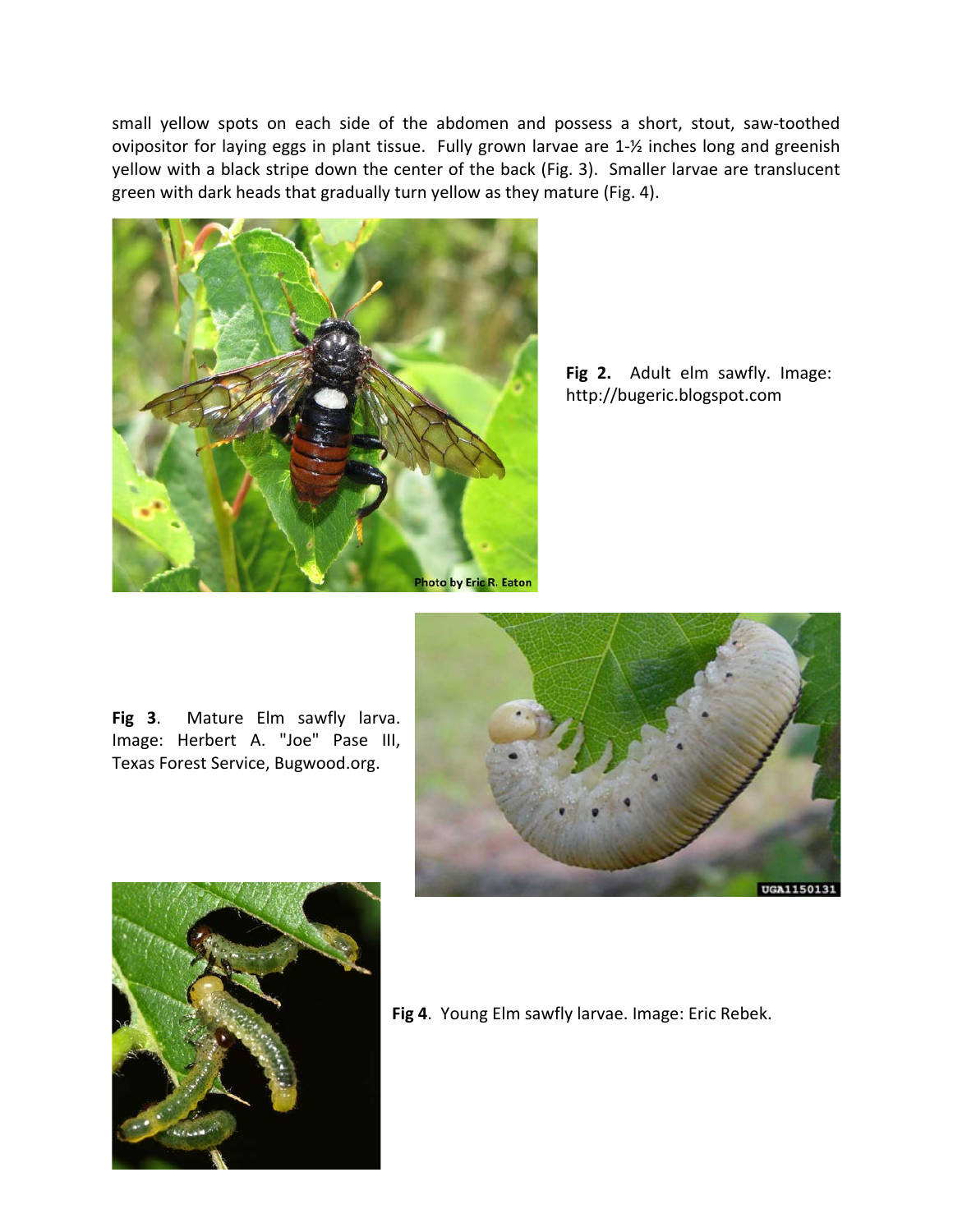small yellow spots on each side of the abdomen and possess a short, stout, saw-toothed ovipositor for laying eggs in plant tissue. Fully grown larvae are 1-½ inches long and greenish yellow with a black stripe down the center of the back (Fig. 3). Smaller larvae are translucent green with dark heads that gradually turn yellow as they mature (Fig. 4).



**Fig 2.** Adult elm sawfly. Image: http://bugeric.blogspot.com

**Fig 3**. Mature Elm sawfly larva. Image: Herbert A. "Joe" Pase III, Texas Forest Service, Bugwood.org.





**Fig 4**. Young Elm sawfly larvae. Image: Eric Rebek.